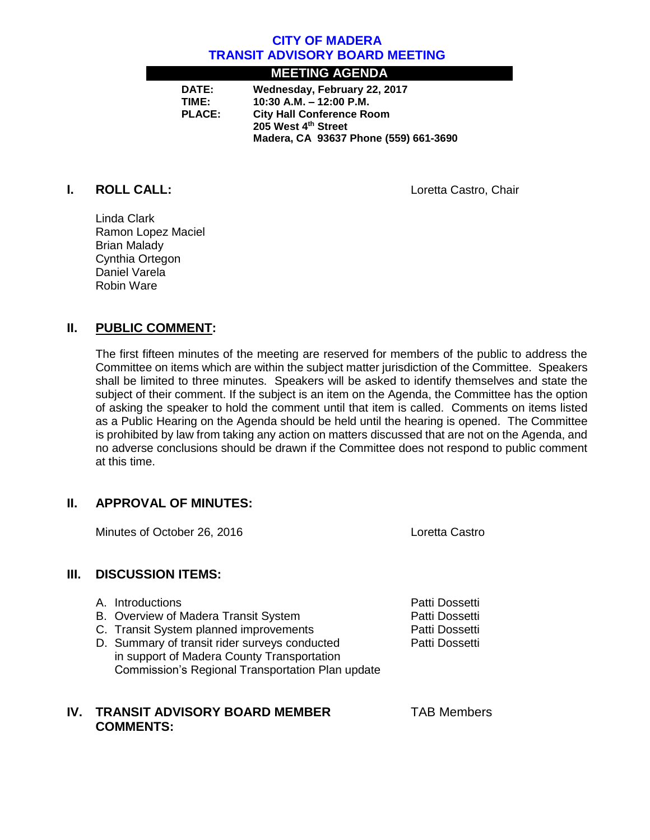## **CITY OF MADERA TRANSIT ADVISORY BOARD MEETING**

# **MEETING AGENDA**

| DATE:         | Wednesday, February 22, 2017          |
|---------------|---------------------------------------|
| TIME:         | 10:30 A.M. $-$ 12:00 P.M.             |
| <b>PLACE:</b> | <b>City Hall Conference Room</b>      |
|               | 205 West 4th Street                   |
|               | Madera, CA 93637 Phone (559) 661-3690 |

**I. ROLL CALL:** Loretta Castro, Chair

Linda Clark Ramon Lopez Maciel Brian Malady Cynthia Ortegon Daniel Varela Robin Ware

# **II. PUBLIC COMMENT:**

The first fifteen minutes of the meeting are reserved for members of the public to address the Committee on items which are within the subject matter jurisdiction of the Committee. Speakers shall be limited to three minutes. Speakers will be asked to identify themselves and state the subject of their comment. If the subject is an item on the Agenda, the Committee has the option of asking the speaker to hold the comment until that item is called. Comments on items listed as a Public Hearing on the Agenda should be held until the hearing is opened. The Committee is prohibited by law from taking any action on matters discussed that are not on the Agenda, and no adverse conclusions should be drawn if the Committee does not respond to public comment at this time.

# **II. APPROVAL OF MINUTES:**

Minutes of October 26, 2016 Loretta Castro

## **III. DISCUSSION ITEMS:**

- A. Introductions **Patti Dossetti** A. Introductions **Patti Dossetti**
- B. Overview of Madera Transit System **Patti Dossetti**
- C. Transit System planned improvements **Patti Dossetti**
- D. Summary of transit rider surveys conducted Patti Dossetti in support of Madera County Transportation Commission's Regional Transportation Plan update

## **IV. TRANSIT ADVISORY BOARD MEMBER TAB Members COMMENTS:**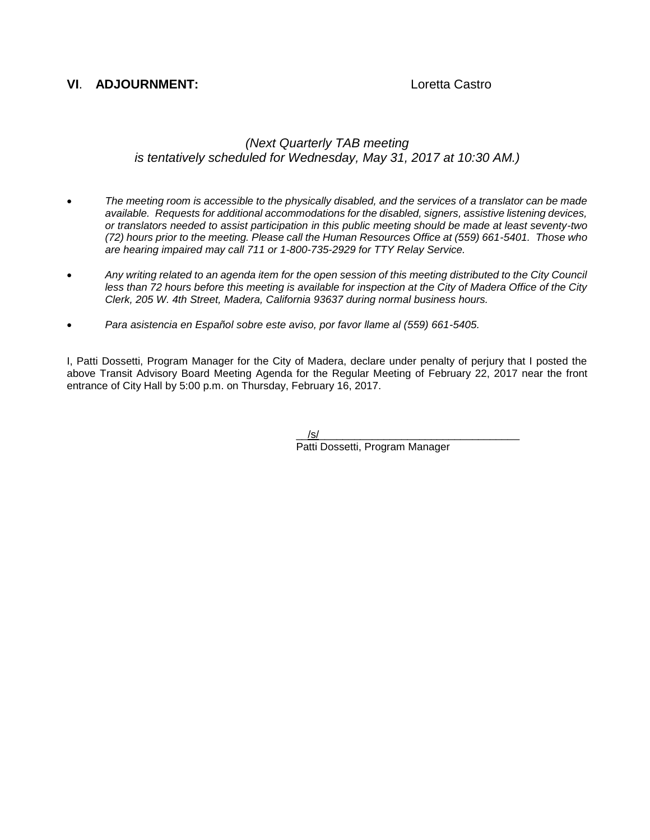#### **VI**. **ADJOURNMENT:** Loretta Castro

#### *(Next Quarterly TAB meeting is tentatively scheduled for Wednesday, May 31, 2017 at 10:30 AM.)*

- *The meeting room is accessible to the physically disabled, and the services of a translator can be made available. Requests for additional accommodations for the disabled, signers, assistive listening devices, or translators needed to assist participation in this public meeting should be made at least seventy-two (72) hours prior to the meeting. Please call the Human Resources Office at (559) 661-5401. Those who are hearing impaired may call 711 or 1-800-735-2929 for TTY Relay Service.*
- *Any writing related to an agenda item for the open session of this meeting distributed to the City Council less than 72 hours before this meeting is available for inspection at the City of Madera Office of the City Clerk, 205 W. 4th Street, Madera, California 93637 during normal business hours.*
- *Para asistencia en Español sobre este aviso, por favor llame al (559) 661-5405.*

I, Patti Dossetti, Program Manager for the City of Madera, declare under penalty of perjury that I posted the above Transit Advisory Board Meeting Agenda for the Regular Meeting of February 22, 2017 near the front entrance of City Hall by 5:00 p.m. on Thursday, February 16, 2017.

> $/$ s/ $\,$ Patti Dossetti, Program Manager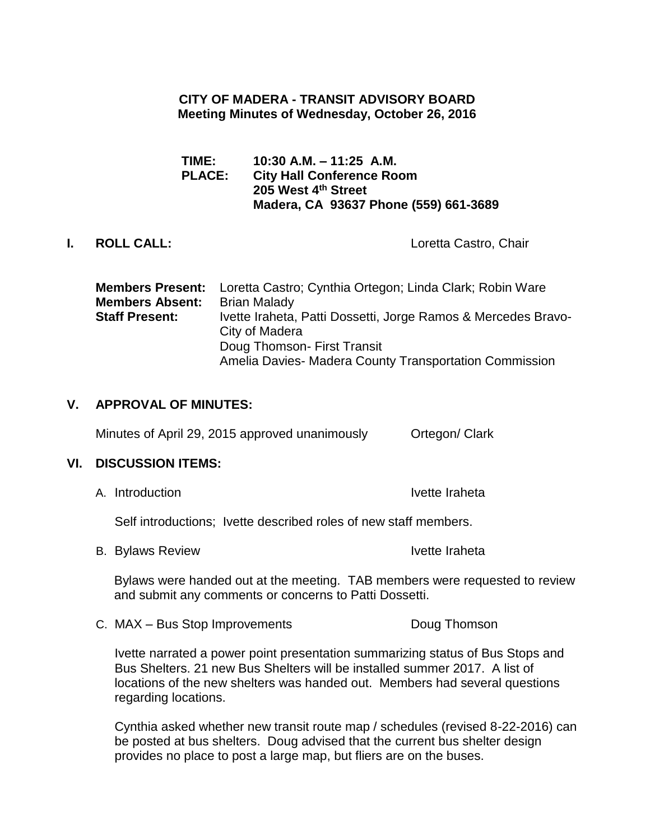# **CITY OF MADERA - TRANSIT ADVISORY BOARD Meeting Minutes of Wednesday, October 26, 2016**

**TIME: 10:30 A.M. – 11:25 A.M. PLACE: City Hall Conference Room 205 West 4th Street Madera, CA 93637 Phone (559) 661-3689**

**I. ROLL CALL:** Loretta Castro, Chair

**Members Present:** Loretta Castro; Cynthia Ortegon; Linda Clark; Robin Ware **Members Absent:** Brian Malady **Staff Present:** Ivette Iraheta, Patti Dossetti, Jorge Ramos & Mercedes Bravo-City of Madera Doug Thomson- First Transit Amelia Davies- Madera County Transportation Commission

# **V. APPROVAL OF MINUTES:**

Minutes of April 29, 2015 approved unanimously Ortegon/ Clark

## **VI. DISCUSSION ITEMS:**

A. Introduction **Ivette Iraheta** 

Self introductions; Ivette described roles of new staff members.

B. Bylaws Review **IVE SERVIEW** IVette Iraheta

Bylaws were handed out at the meeting. TAB members were requested to review and submit any comments or concerns to Patti Dossetti.

C. MAX – Bus Stop Improvements Doug Thomson

Ivette narrated a power point presentation summarizing status of Bus Stops and Bus Shelters. 21 new Bus Shelters will be installed summer 2017. A list of locations of the new shelters was handed out. Members had several questions regarding locations.

Cynthia asked whether new transit route map / schedules (revised 8-22-2016) can be posted at bus shelters. Doug advised that the current bus shelter design provides no place to post a large map, but fliers are on the buses.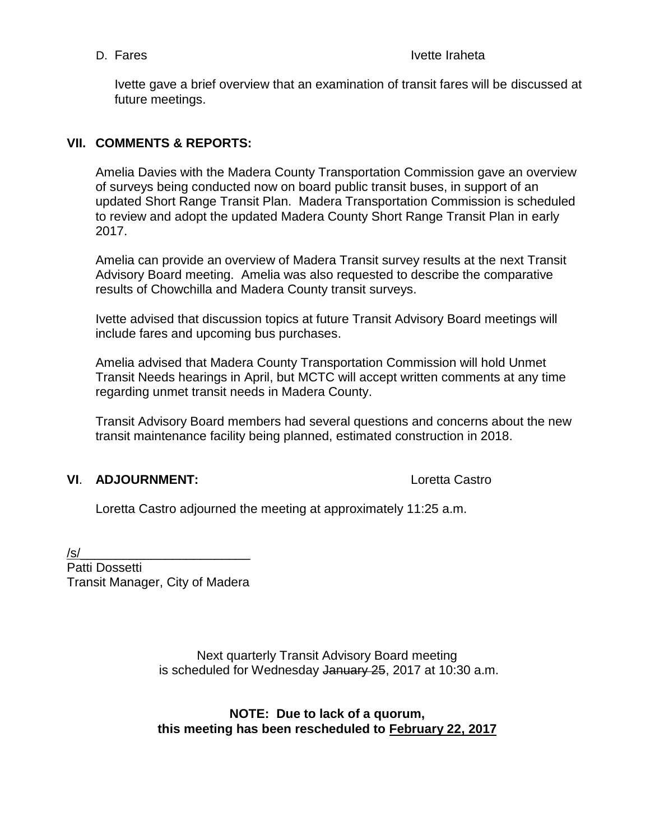Ivette gave a brief overview that an examination of transit fares will be discussed at future meetings.

# **VII. COMMENTS & REPORTS:**

Amelia Davies with the Madera County Transportation Commission gave an overview of surveys being conducted now on board public transit buses, in support of an updated Short Range Transit Plan. Madera Transportation Commission is scheduled to review and adopt the updated Madera County Short Range Transit Plan in early 2017.

Amelia can provide an overview of Madera Transit survey results at the next Transit Advisory Board meeting. Amelia was also requested to describe the comparative results of Chowchilla and Madera County transit surveys.

Ivette advised that discussion topics at future Transit Advisory Board meetings will include fares and upcoming bus purchases.

Amelia advised that Madera County Transportation Commission will hold Unmet Transit Needs hearings in April, but MCTC will accept written comments at any time regarding unmet transit needs in Madera County.

Transit Advisory Board members had several questions and concerns about the new transit maintenance facility being planned, estimated construction in 2018.

# **VI**. **ADJOURNMENT:** Loretta Castro

Loretta Castro adjourned the meeting at approximately 11:25 a.m.

/s/\_\_\_\_\_\_\_\_\_\_\_\_\_\_\_\_\_\_\_\_\_\_\_\_

Patti Dossetti Transit Manager, City of Madera

> Next quarterly Transit Advisory Board meeting is scheduled for Wednesday January 25, 2017 at 10:30 a.m.

> **NOTE: Due to lack of a quorum, this meeting has been rescheduled to February 22, 2017**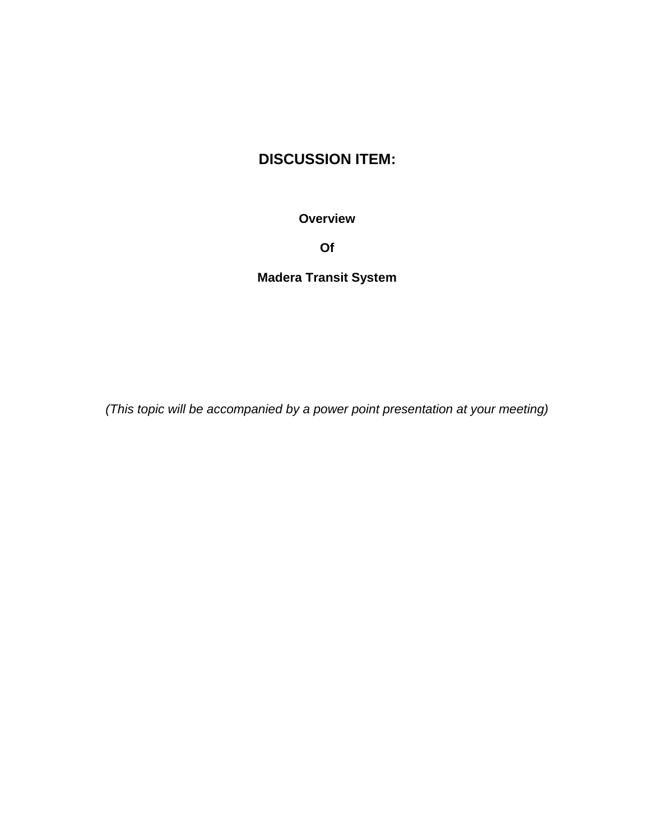# **DISCUSSION ITEM:**

**Overview**

**Of** 

**Madera Transit System**

*(This topic will be accompanied by a power point presentation at your meeting)*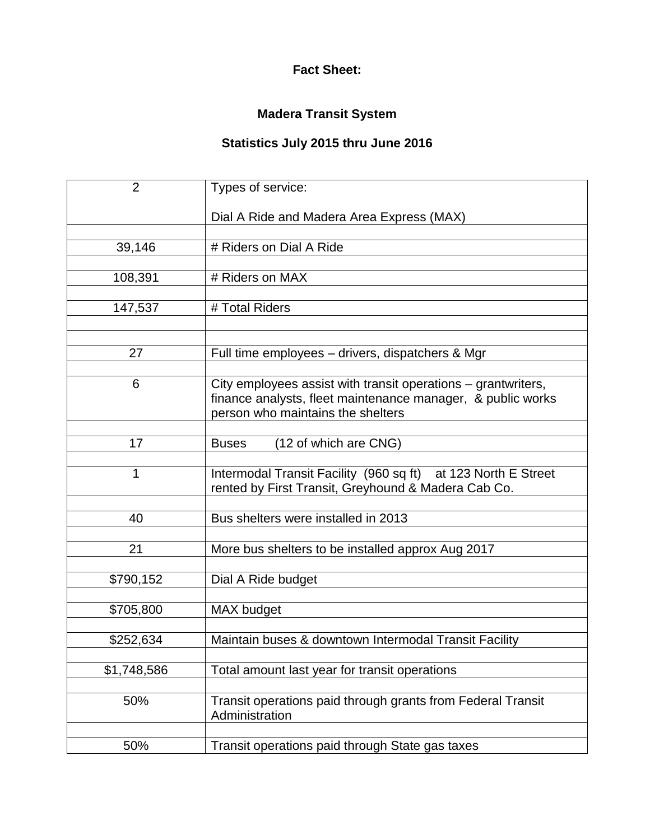# **Fact Sheet:**

# **Madera Transit System**

# **Statistics July 2015 thru June 2016**

| $\overline{2}$ | Types of service:                                             |
|----------------|---------------------------------------------------------------|
|                | Dial A Ride and Madera Area Express (MAX)                     |
|                |                                                               |
| 39,146         | # Riders on Dial A Ride                                       |
|                |                                                               |
| 108,391        | # Riders on MAX                                               |
|                |                                                               |
| 147,537        | # Total Riders                                                |
|                |                                                               |
|                |                                                               |
| 27             | Full time employees - drivers, dispatchers & Mgr              |
|                |                                                               |
| 6              | City employees assist with transit operations – grantwriters, |
|                | finance analysts, fleet maintenance manager, & public works   |
|                | person who maintains the shelters                             |
|                |                                                               |
| 17             | (12 of which are CNG)<br><b>Buses</b>                         |
|                |                                                               |
| 1              | Intermodal Transit Facility (960 sq ft) at 123 North E Street |
|                | rented by First Transit, Greyhound & Madera Cab Co.           |
|                |                                                               |
| 40             | Bus shelters were installed in 2013                           |
|                |                                                               |
| 21             | More bus shelters to be installed approx Aug 2017             |
|                |                                                               |
| \$790,152      | Dial A Ride budget                                            |
|                |                                                               |
| \$705,800      | MAX budget                                                    |
|                |                                                               |
| \$252,634      | Maintain buses & downtown Intermodal Transit Facility         |
|                |                                                               |
| \$1,748,586    | Total amount last year for transit operations                 |
|                |                                                               |
| 50%            | Transit operations paid through grants from Federal Transit   |
|                | Administration                                                |
|                |                                                               |
| 50%            | Transit operations paid through State gas taxes               |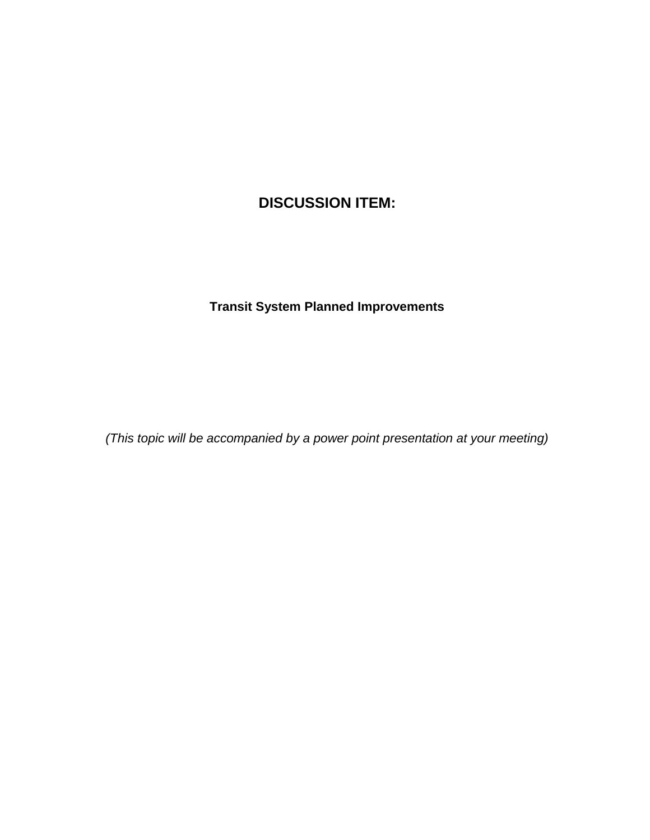# **DISCUSSION ITEM:**

# **Transit System Planned Improvements**

*(This topic will be accompanied by a power point presentation at your meeting)*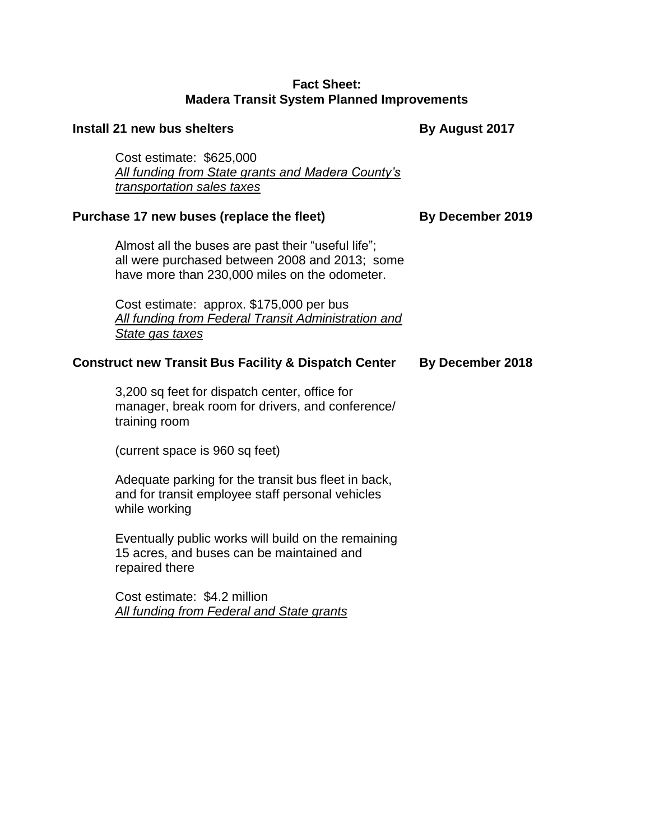#### **Fact Sheet: Madera Transit System Planned Improvements**

# **Install 21 new bus shelters By August 2017** Cost estimate: \$625,000 *All funding from State grants and Madera County's transportation sales taxes* Purchase 17 new buses (replace the fleet) By December 2019 Almost all the buses are past their "useful life"; all were purchased between 2008 and 2013; some have more than 230,000 miles on the odometer. Cost estimate: approx. \$175,000 per bus *All funding from Federal Transit Administration and State gas taxes* **Construct new Transit Bus Facility & Dispatch Center By December 2018** 3,200 sq feet for dispatch center, office for manager, break room for drivers, and conference/ training room (current space is 960 sq feet) Adequate parking for the transit bus fleet in back, and for transit employee staff personal vehicles while working Eventually public works will build on the remaining 15 acres, and buses can be maintained and

repaired there

Cost estimate: \$4.2 million *All funding from Federal and State grants*